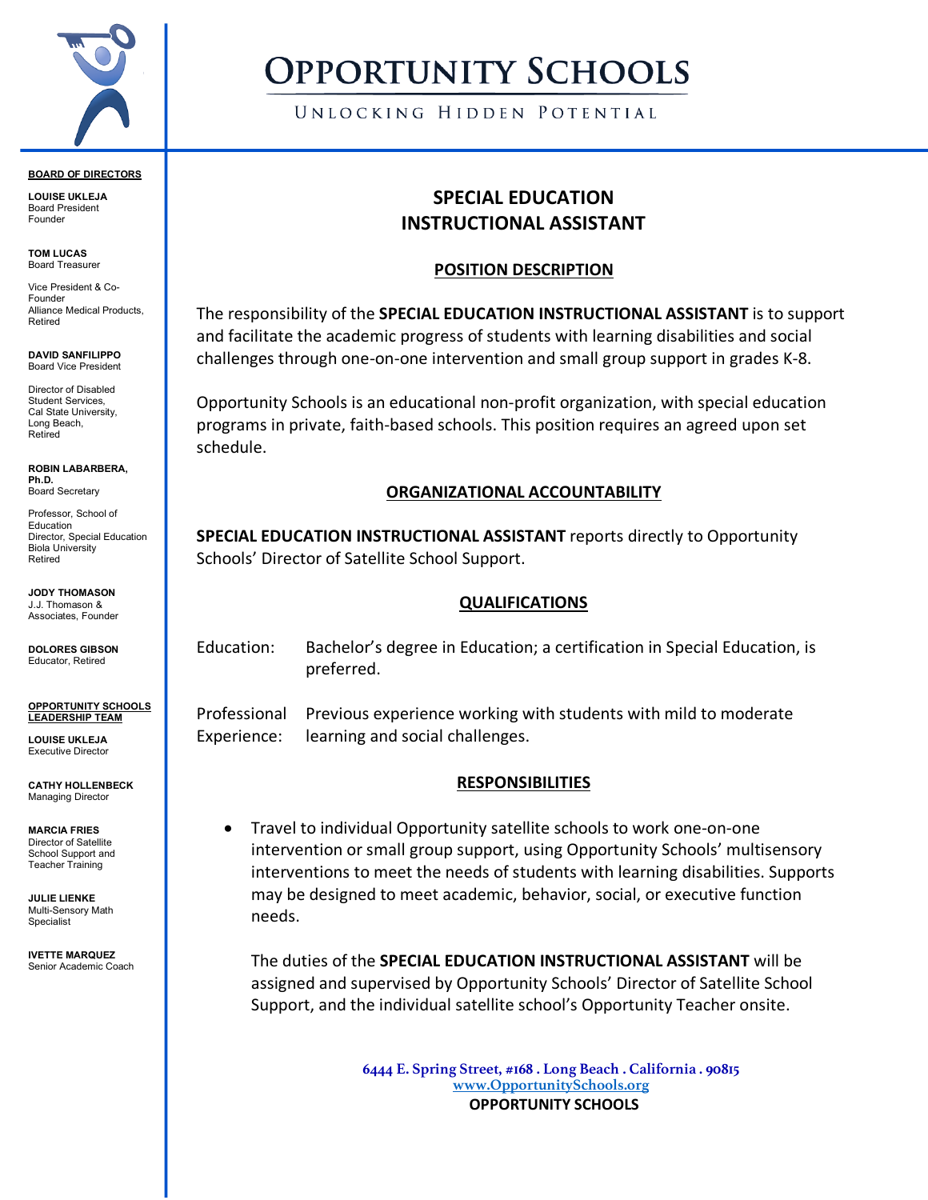

#### **BOARD OF DIRECTORS**

**LOUISE UKLEJA** Board President Founder

**TOM LUCAS** Board Treasurer

Vice President & Co-Founder Alliance Medical Products, Retired

**DAVID SANFILIPPO** Board Vice President

Director of Disabled Student Services, Cal State University, Long Beach, Retired

**ROBIN LABARBERA, Ph.D.** Board Secretary

Professor, School of Education Director, Special Education Biola University Retired

**JODY THOMASON** J.J. Thomason & Associates, Founder

**DOLORES GIBSON** Educator, Retired

**OPPORTUNITY SCHOOLS LEADERSHIP TEAM**

**LOUISE UKLEJA** Executive Director

**CATHY HOLLENBECK** Managing Director

**MARCIA FRIES** Director of Satellite School Support and Teacher Training

**JULIE LIENKE** Multi-Sensory Math Specialist

**IVETTE MARQUEZ** Senior Academic Coach

# **OPPORTUNITY SCHOOLS**

UNLOCKING HIDDEN POTENTIAL

## **SPECIAL EDUCATION INSTRUCTIONAL ASSISTANT**

#### **POSITION DESCRIPTION**

The responsibility of the **SPECIAL EDUCATION INSTRUCTIONAL ASSISTANT** is to support and facilitate the academic progress of students with learning disabilities and social challenges through one-on-one intervention and small group support in grades K-8.

Opportunity Schools is an educational non-profit organization, with special education programs in private, faith-based schools. This position requires an agreed upon set schedule.

### **ORGANIZATIONAL ACCOUNTABILITY**

**SPECIAL EDUCATION INSTRUCTIONAL ASSISTANT** reports directly to Opportunity Schools' Director of Satellite School Support.

#### **QUALIFICATIONS**

Education: Bachelor's degree in Education; a certification in Special Education, is preferred.

Professional Previous experience working with students with mild to moderate Experience: learning and social challenges.

### **RESPONSIBILITIES**

• Travel to individual Opportunity satellite schools to work one-on-one intervention or small group support, using Opportunity Schools' multisensory interventions to meet the needs of students with learning disabilities. Supports may be designed to meet academic, behavior, social, or executive function needs.

The duties of the **SPECIAL EDUCATION INSTRUCTIONAL ASSISTANT** will be assigned and supervised by Opportunity Schools' Director of Satellite School Support, and the individual satellite school's Opportunity Teacher onsite.

> **6444 E. Spring Street, #168 . Long Beach . California . 90815 www.OpportunitySchools.org OPPORTUNITY SCHOOLS**